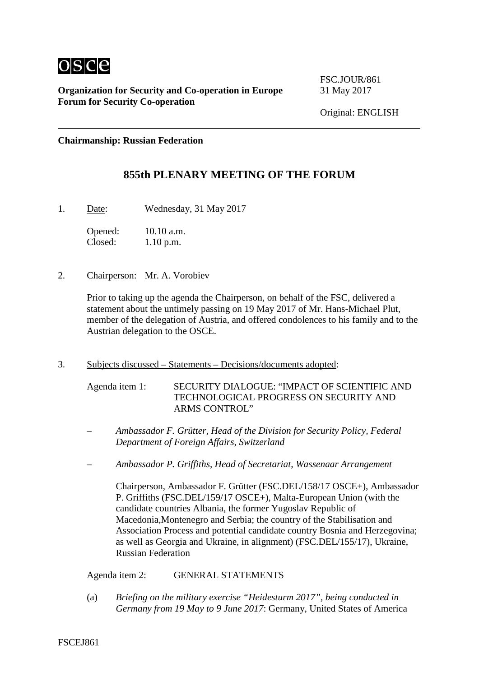

**Organization for Security and Co-operation in Europe** 31 May 2017 **Forum for Security Co-operation**

FSC.JOUR/861

Original: ENGLISH

**Chairmanship: Russian Federation**

## **855th PLENARY MEETING OF THE FORUM**

1. Date: Wednesday, 31 May 2017

Opened: 10.10 a.m.<br>Closed: 1.10 p.m.  $1.10$  p.m.

2. Chairperson: Mr. A. Vorobiev

Prior to taking up the agenda the Chairperson, on behalf of the FSC, delivered a statement about the untimely passing on 19 May 2017 of Mr. Hans-Michael Plut, member of the delegation of Austria, and offered condolences to his family and to the Austrian delegation to the OSCE.

3. Subjects discussed – Statements – Decisions/documents adopted:

Agenda item 1: SECURITY DIALOGUE: "IMPACT OF SCIENTIFIC AND TECHNOLOGICAL PROGRESS ON SECURITY AND ARMS CONTROL"

- *Ambassador F. Grütter, Head of the Division for Security Policy, Federal Department of Foreign Affairs, Switzerland*
- *Ambassador P. Griffiths, Head of Secretariat, Wassenaar Arrangement*

Chairperson, Ambassador F. Grütter (FSC.DEL/158/17 OSCE+), Ambassador P. Griffiths (FSC.DEL/159/17 OSCE+), Malta-European Union (with the candidate countries Albania, the former Yugoslav Republic of Macedonia,Montenegro and Serbia; the country of the Stabilisation and Association Process and potential candidate country Bosnia and Herzegovina; as well as Georgia and Ukraine, in alignment) (FSC.DEL/155/17), Ukraine, Russian Federation

Agenda item 2: GENERAL STATEMENTS

(a) *Briefing on the military exercise "Heidesturm 2017", being conducted in Germany from 19 May to 9 June 2017*: Germany, United States of America